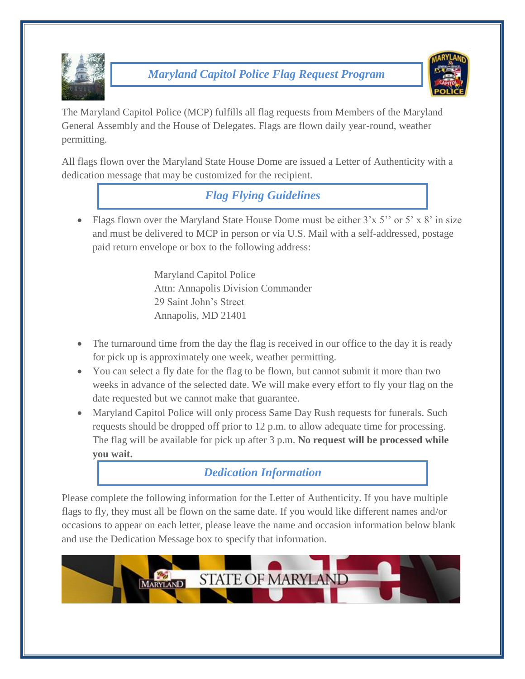

## *Maryland Capitol Police Flag Request Program*



The Maryland Capitol Police (MCP) fulfills all flag requests from Members of the Maryland General Assembly and the House of Delegates. Flags are flown daily year-round, weather permitting.

All flags flown over the Maryland State House Dome are issued a Letter of Authenticity with a dedication message that may be customized for the recipient.

*Flag Flying Guidelines*

• Flags flown over the Maryland State House Dome must be either  $3'x 5''$  or  $5'x 8'$  in size and must be delivered to MCP in person or via U.S. Mail with a self-addressed, postage paid return envelope or box to the following address:

> Maryland Capitol Police Attn: Annapolis Division Commander 29 Saint John's Street Annapolis, MD 21401

- The turnaround time from the day the flag is received in our office to the day it is ready for pick up is approximately one week, weather permitting.
- You can select a fly date for the flag to be flown, but cannot submit it more than two weeks in advance of the selected date. We will make every effort to fly your flag on the date requested but we cannot make that guarantee.
- Maryland Capitol Police will only process Same Day Rush requests for funerals. Such requests should be dropped off prior to 12 p.m. to allow adequate time for processing. The flag will be available for pick up after 3 p.m. **No request will be processed while you wait.**

## *Dedication Information*

Please complete the following information for the Letter of Authenticity. If you have multiple flags to fly, they must all be flown on the same date. If you would like different names and/or occasions to appear on each letter, please leave the name and occasion information below blank and use the Dedication Message box to specify that information.